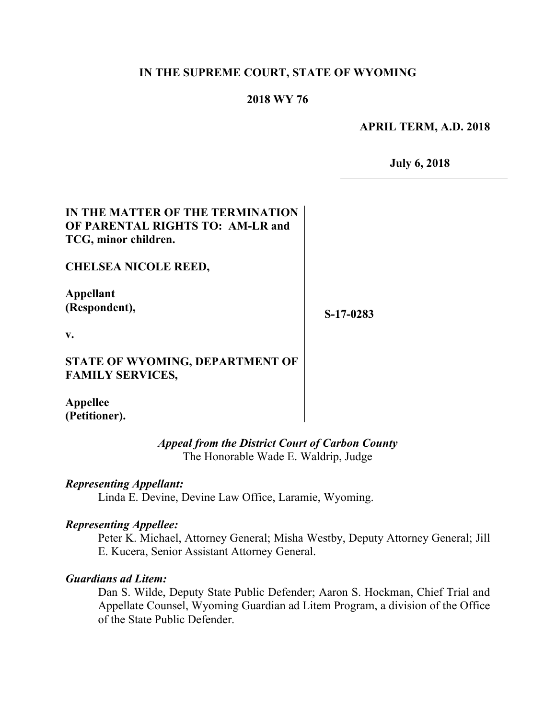# **IN THE SUPREME COURT, STATE OF WYOMING**

### **2018 WY 76**

**APRIL TERM, A.D. 2018**

**July 6, 2018**

# **IN THE MATTER OF THE TERMINATION OF PARENTAL RIGHTS TO: AM-LR and TCG, minor children.**

**CHELSEA NICOLE REED,**

**Appellant (Respondent),**

**S-17-0283**

**v.**

**STATE OF WYOMING, DEPARTMENT OF FAMILY SERVICES,**

**Appellee (Petitioner).**

> *Appeal from the District Court of Carbon County* The Honorable Wade E. Waldrip, Judge

### *Representing Appellant:*

Linda E. Devine, Devine Law Office, Laramie, Wyoming.

#### *Representing Appellee:*

Peter K. Michael, Attorney General; Misha Westby, Deputy Attorney General; Jill E. Kucera, Senior Assistant Attorney General.

#### *Guardians ad Litem:*

Dan S. Wilde, Deputy State Public Defender; Aaron S. Hockman, Chief Trial and Appellate Counsel, Wyoming Guardian ad Litem Program, a division of the Office of the State Public Defender.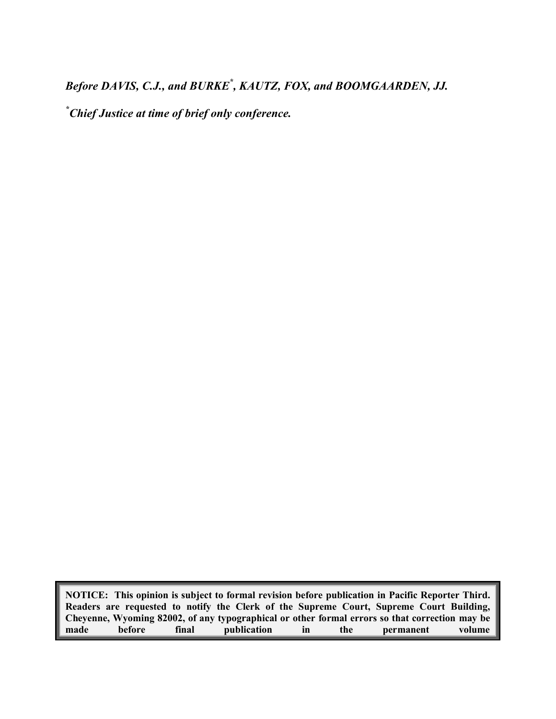*Before DAVIS, C.J., and BURKE\* , KAUTZ, FOX, and BOOMGAARDEN, JJ.*

*\*Chief Justice at time of brief only conference.*

**NOTICE: This opinion is subject to formal revision before publication in Pacific Reporter Third. Readers are requested to notify the Clerk of the Supreme Court, Supreme Court Building, Cheyenne, Wyoming 82002, of any typographical or other formal errors so that correction may be made before final publication in the permanent volume**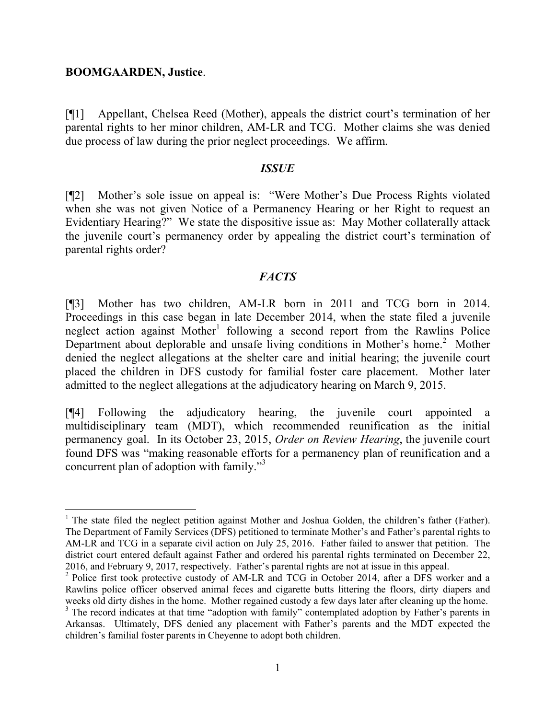### **BOOMGAARDEN, Justice**.

[¶1] Appellant, Chelsea Reed (Mother), appeals the district court's termination of her parental rights to her minor children, AM-LR and TCG. Mother claims she was denied due process of law during the prior neglect proceedings. We affirm.

### *ISSUE*

[¶2] Mother's sole issue on appeal is: "Were Mother's Due Process Rights violated when she was not given Notice of a Permanency Hearing or her Right to request an Evidentiary Hearing?" We state the dispositive issue as: May Mother collaterally attack the juvenile court's permanency order by appealing the district court's termination of parental rights order?

## *FACTS*

[¶3] Mother has two children, AM-LR born in 2011 and TCG born in 2014. Proceedings in this case began in late December 2014, when the state filed a juvenile neglect action against Mother<sup>1</sup> following a second report from the Rawlins Police Department about deplorable and unsafe living conditions in Mother's home.<sup>2</sup> Mother denied the neglect allegations at the shelter care and initial hearing; the juvenile court placed the children in DFS custody for familial foster care placement. Mother later admitted to the neglect allegations at the adjudicatory hearing on March 9, 2015.

[¶4] Following the adjudicatory hearing, the juvenile court appointed a multidisciplinary team (MDT), which recommended reunification as the initial permanency goal. In its October 23, 2015, *Order on Review Hearing*, the juvenile court found DFS was "making reasonable efforts for a permanency plan of reunification and a concurrent plan of adoption with family."<sup>3</sup>

 $\overline{a}$ <sup>1</sup> The state filed the neglect petition against Mother and Joshua Golden, the children's father (Father). The Department of Family Services (DFS) petitioned to terminate Mother's and Father's parental rights to AM-LR and TCG in a separate civil action on July 25, 2016. Father failed to answer that petition. The district court entered default against Father and ordered his parental rights terminated on December 22, 2016, and February 9, 2017, respectively. Father's parental rights are not at issue in this appeal.

<sup>&</sup>lt;sup>2</sup> Police first took protective custody of AM-LR and TCG in October 2014, after a DFS worker and a Rawlins police officer observed animal feces and cigarette butts littering the floors, dirty diapers and weeks old dirty dishes in the home. Mother regained custody a few days later after cleaning up the home. <sup>3</sup> The record indicates at that time "adoption with family" contemplated adoption by Father's parents in Arkansas. Ultimately, DFS denied any placement with Father's parents and the MDT expected the children's familial foster parents in Cheyenne to adopt both children.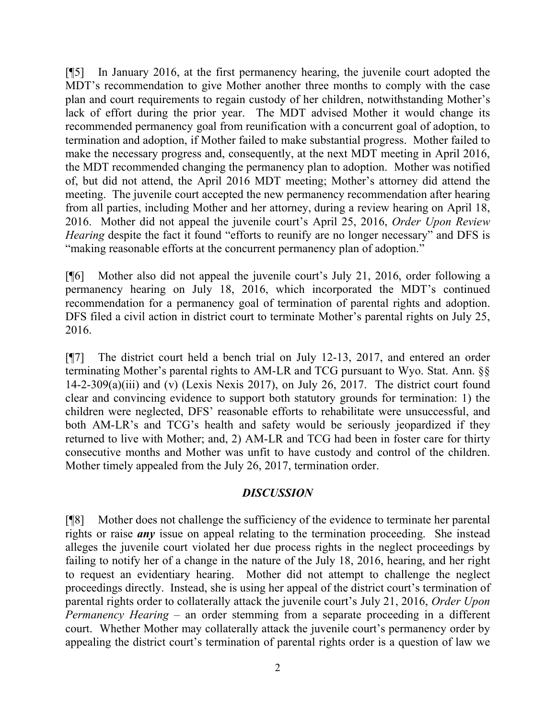[¶5] In January 2016, at the first permanency hearing, the juvenile court adopted the MDT's recommendation to give Mother another three months to comply with the case plan and court requirements to regain custody of her children, notwithstanding Mother's lack of effort during the prior year. The MDT advised Mother it would change its recommended permanency goal from reunification with a concurrent goal of adoption, to termination and adoption, if Mother failed to make substantial progress. Mother failed to make the necessary progress and, consequently, at the next MDT meeting in April 2016, the MDT recommended changing the permanency plan to adoption. Mother was notified of, but did not attend, the April 2016 MDT meeting; Mother's attorney did attend the meeting. The juvenile court accepted the new permanency recommendation after hearing from all parties, including Mother and her attorney, during a review hearing on April 18, 2016. Mother did not appeal the juvenile court's April 25, 2016, *Order Upon Review Hearing* despite the fact it found "efforts to reunify are no longer necessary" and DFS is "making reasonable efforts at the concurrent permanency plan of adoption."

[¶6] Mother also did not appeal the juvenile court's July 21, 2016, order following a permanency hearing on July 18, 2016, which incorporated the MDT's continued recommendation for a permanency goal of termination of parental rights and adoption. DFS filed a civil action in district court to terminate Mother's parental rights on July 25, 2016.

[¶7] The district court held a bench trial on July 12-13, 2017, and entered an order terminating Mother's parental rights to AM-LR and TCG pursuant to Wyo. Stat. Ann. §§  $14-2-309(a)(iii)$  and (v) (Lexis Nexis 2017), on July 26, 2017. The district court found clear and convincing evidence to support both statutory grounds for termination: 1) the children were neglected, DFS' reasonable efforts to rehabilitate were unsuccessful, and both AM-LR's and TCG's health and safety would be seriously jeopardized if they returned to live with Mother; and, 2) AM-LR and TCG had been in foster care for thirty consecutive months and Mother was unfit to have custody and control of the children. Mother timely appealed from the July 26, 2017, termination order.

# *DISCUSSION*

[¶8] Mother does not challenge the sufficiency of the evidence to terminate her parental rights or raise *any* issue on appeal relating to the termination proceeding. She instead alleges the juvenile court violated her due process rights in the neglect proceedings by failing to notify her of a change in the nature of the July 18, 2016, hearing, and her right to request an evidentiary hearing. Mother did not attempt to challenge the neglect proceedings directly. Instead, she is using her appeal of the district court's termination of parental rights order to collaterally attack the juvenile court's July 21, 2016, *Order Upon Permanency Hearing* – an order stemming from a separate proceeding in a different court. Whether Mother may collaterally attack the juvenile court's permanency order by appealing the district court's termination of parental rights order is a question of law we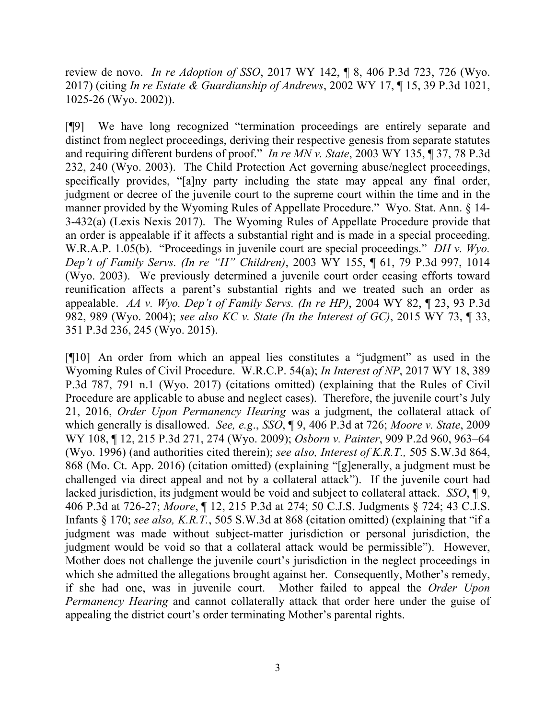review de novo. *In re Adoption of SSO*, 2017 WY 142, ¶ 8, 406 P.3d 723, 726 (Wyo. 2017) (citing *In re Estate & Guardianship of Andrews*, 2002 WY 17, ¶ 15, 39 P.3d 1021, 1025-26 (Wyo. 2002)).

[¶9] We have long recognized "termination proceedings are entirely separate and distinct from neglect proceedings, deriving their respective genesis from separate statutes and requiring different burdens of proof." *In re MN v. State*, 2003 WY 135, ¶ 37, 78 P.3d 232, 240 (Wyo. 2003). The Child Protection Act governing abuse/neglect proceedings, specifically provides, "[a]ny party including the state may appeal any final order, judgment or decree of the juvenile court to the supreme court within the time and in the manner provided by the Wyoming Rules of Appellate Procedure." Wyo. Stat. Ann. § 14- 3-432(a) (Lexis Nexis 2017). The Wyoming Rules of Appellate Procedure provide that an order is appealable if it affects a substantial right and is made in a special proceeding. W.R.A.P. 1.05(b). "Proceedings in juvenile court are special proceedings." *DH v. Wyo. Dep't of Family Servs. (In re "H" Children)*, 2003 WY 155, ¶ 61, 79 P.3d 997, 1014 (Wyo. 2003). We previously determined a juvenile court order ceasing efforts toward reunification affects a parent's substantial rights and we treated such an order as appealable. *AA v. Wyo. Dep't of Family Servs. (In re HP)*, 2004 WY 82, ¶ 23, 93 P.3d 982, 989 (Wyo. 2004); *see also KC v. State (In the Interest of GC)*, 2015 WY 73, ¶ 33, 351 P.3d 236, 245 (Wyo. 2015).

[¶10] An order from which an appeal lies constitutes a "judgment" as used in the Wyoming Rules of Civil Procedure. W.R.C.P. 54(a); *In Interest of NP*, 2017 WY 18, 389 P.3d 787, 791 n.1 (Wyo. 2017) (citations omitted) (explaining that the Rules of Civil Procedure are applicable to abuse and neglect cases). Therefore, the juvenile court's July 21, 2016, *Order Upon Permanency Hearing* was a judgment, the collateral attack of which generally is disallowed. *See, e.g*., *SSO*, ¶ 9, 406 P.3d at 726; *Moore v. State*, 2009 WY 108, ¶ 12, 215 P.3d 271, 274 (Wyo. 2009); *Osborn v. Painter*, 909 P.2d 960, 963–64 (Wyo. 1996) (and authorities cited therein); *see also, Interest of K.R.T.,* 505 S.W.3d 864, 868 (Mo. Ct. App. 2016) (citation omitted) (explaining "[g]enerally, a judgment must be challenged via direct appeal and not by a collateral attack"). If the juvenile court had lacked jurisdiction, its judgment would be void and subject to collateral attack. *SSO*, ¶ 9, 406 P.3d at 726-27; *Moore*, ¶ 12, 215 P.3d at 274; 50 C.J.S. Judgments § 724; 43 C.J.S. Infants § 170; *see also, K.R.T.*, 505 S.W.3d at 868 (citation omitted) (explaining that "if a judgment was made without subject-matter jurisdiction or personal jurisdiction, the judgment would be void so that a collateral attack would be permissible"). However, Mother does not challenge the juvenile court's jurisdiction in the neglect proceedings in which she admitted the allegations brought against her. Consequently, Mother's remedy, if she had one, was in juvenile court. Mother failed to appeal the *Order Upon Permanency Hearing* and cannot collaterally attack that order here under the guise of appealing the district court's order terminating Mother's parental rights.